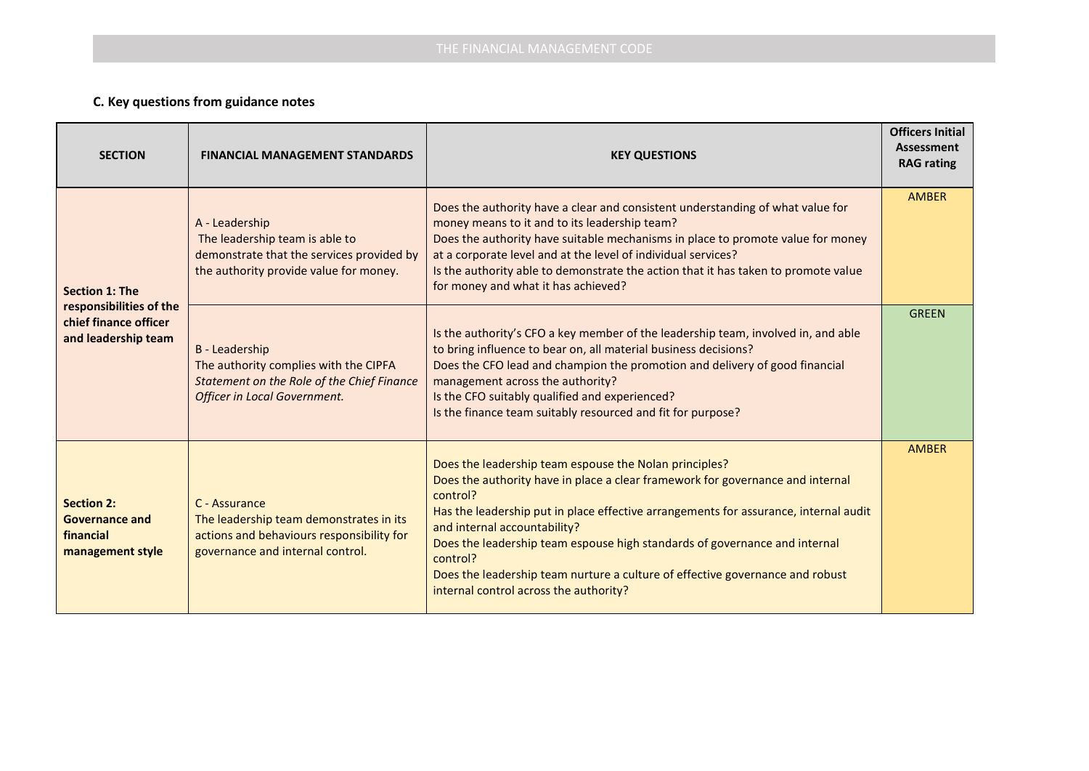## **C. Key questions from guidance notes**

| <b>SECTION</b>                                                                                   | <b>FINANCIAL MANAGEMENT STANDARDS</b>                                                                                                     | <b>KEY QUESTIONS</b>                                                                                                                                                                                                                                                                                                                                                                                                                                                                              | <b>Officers Initial</b><br>Assessment<br><b>RAG</b> rating |
|--------------------------------------------------------------------------------------------------|-------------------------------------------------------------------------------------------------------------------------------------------|---------------------------------------------------------------------------------------------------------------------------------------------------------------------------------------------------------------------------------------------------------------------------------------------------------------------------------------------------------------------------------------------------------------------------------------------------------------------------------------------------|------------------------------------------------------------|
| <b>Section 1: The</b><br>responsibilities of the<br>chief finance officer<br>and leadership team | A - Leadership<br>The leadership team is able to<br>demonstrate that the services provided by<br>the authority provide value for money.   | Does the authority have a clear and consistent understanding of what value for<br>money means to it and to its leadership team?<br>Does the authority have suitable mechanisms in place to promote value for money<br>at a corporate level and at the level of individual services?<br>Is the authority able to demonstrate the action that it has taken to promote value<br>for money and what it has achieved?                                                                                  | <b>AMBER</b>                                               |
|                                                                                                  | B - Leadership<br>The authority complies with the CIPFA<br>Statement on the Role of the Chief Finance<br>Officer in Local Government.     | Is the authority's CFO a key member of the leadership team, involved in, and able<br>to bring influence to bear on, all material business decisions?<br>Does the CFO lead and champion the promotion and delivery of good financial<br>management across the authority?<br>Is the CFO suitably qualified and experienced?<br>Is the finance team suitably resourced and fit for purpose?                                                                                                          | <b>GREEN</b>                                               |
| <b>Section 2:</b><br><b>Governance and</b><br>financial<br>management style                      | C - Assurance<br>The leadership team demonstrates in its<br>actions and behaviours responsibility for<br>governance and internal control. | Does the leadership team espouse the Nolan principles?<br>Does the authority have in place a clear framework for governance and internal<br>control?<br>Has the leadership put in place effective arrangements for assurance, internal audit<br>and internal accountability?<br>Does the leadership team espouse high standards of governance and internal<br>control?<br>Does the leadership team nurture a culture of effective governance and robust<br>internal control across the authority? | <b>AMBER</b>                                               |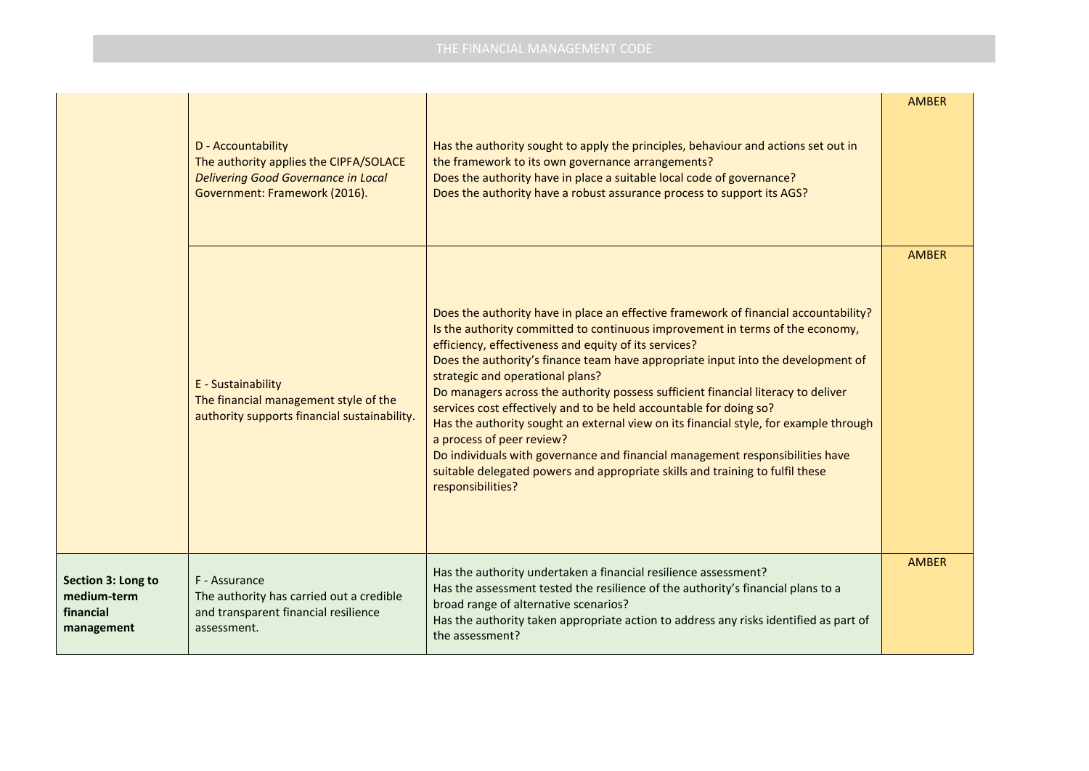|                                                              | D - Accountability<br>The authority applies the CIPFA/SOLACE<br><b>Delivering Good Governance in Local</b><br>Government: Framework (2016). | Has the authority sought to apply the principles, behaviour and actions set out in<br>the framework to its own governance arrangements?<br>Does the authority have in place a suitable local code of governance?<br>Does the authority have a robust assurance process to support its AGS?                                                                                                                                                                                                                                                                                                                                                                                                                                                                                                                                     | <b>AMBER</b> |
|--------------------------------------------------------------|---------------------------------------------------------------------------------------------------------------------------------------------|--------------------------------------------------------------------------------------------------------------------------------------------------------------------------------------------------------------------------------------------------------------------------------------------------------------------------------------------------------------------------------------------------------------------------------------------------------------------------------------------------------------------------------------------------------------------------------------------------------------------------------------------------------------------------------------------------------------------------------------------------------------------------------------------------------------------------------|--------------|
|                                                              | E - Sustainability<br>The financial management style of the<br>authority supports financial sustainability.                                 | Does the authority have in place an effective framework of financial accountability?<br>Is the authority committed to continuous improvement in terms of the economy,<br>efficiency, effectiveness and equity of its services?<br>Does the authority's finance team have appropriate input into the development of<br>strategic and operational plans?<br>Do managers across the authority possess sufficient financial literacy to deliver<br>services cost effectively and to be held accountable for doing so?<br>Has the authority sought an external view on its financial style, for example through<br>a process of peer review?<br>Do individuals with governance and financial management responsibilities have<br>suitable delegated powers and appropriate skills and training to fulfil these<br>responsibilities? | <b>AMBER</b> |
| Section 3: Long to<br>medium-term<br>financial<br>management | F - Assurance<br>The authority has carried out a credible<br>and transparent financial resilience<br>assessment.                            | Has the authority undertaken a financial resilience assessment?<br>Has the assessment tested the resilience of the authority's financial plans to a<br>broad range of alternative scenarios?<br>Has the authority taken appropriate action to address any risks identified as part of<br>the assessment?                                                                                                                                                                                                                                                                                                                                                                                                                                                                                                                       | <b>AMBER</b> |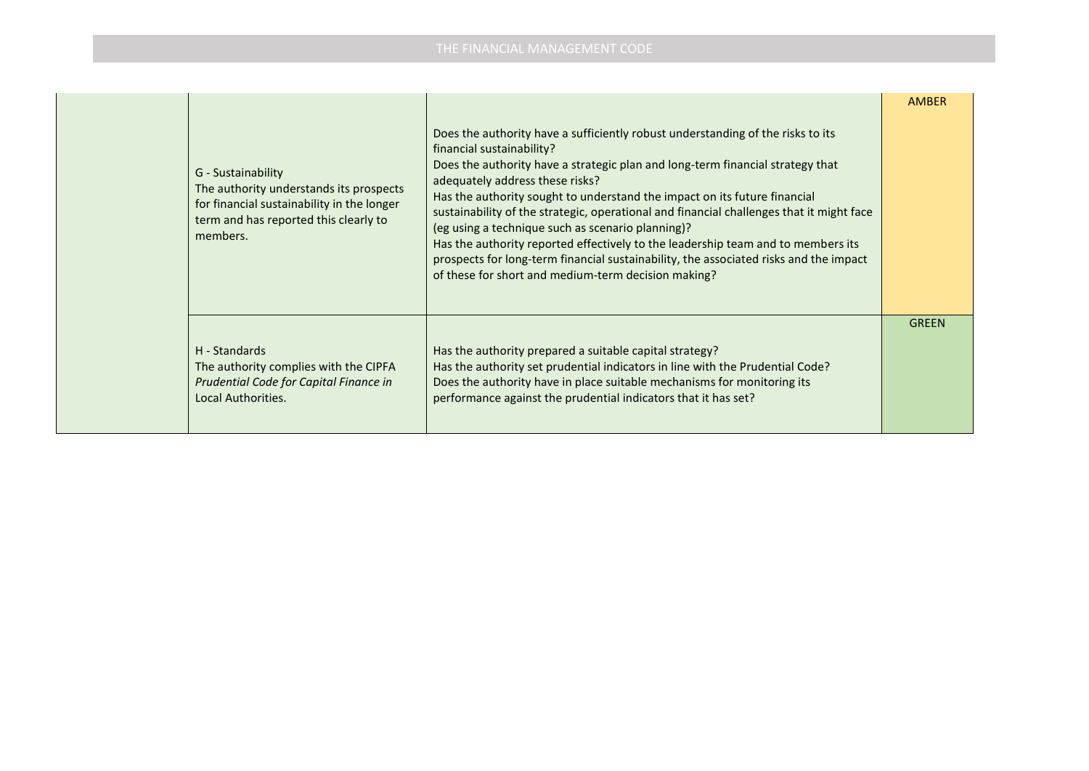| G - Sustainability<br>The authority understands its prospects<br>for financial sustainability in the longer<br>term and has reported this clearly to<br>members. | Does the authority have a sufficiently robust understanding of the risks to its<br>financial sustainability?<br>Does the authority have a strategic plan and long-term financial strategy that<br>adequately address these risks?<br>Has the authority sought to understand the impact on its future financial<br>sustainability of the strategic, operational and financial challenges that it might face<br>(eg using a technique such as scenario planning)?<br>Has the authority reported effectively to the leadership team and to members its<br>prospects for long-term financial sustainability, the associated risks and the impact<br>of these for short and medium-term decision making? | <b>AMBER</b> |
|------------------------------------------------------------------------------------------------------------------------------------------------------------------|-----------------------------------------------------------------------------------------------------------------------------------------------------------------------------------------------------------------------------------------------------------------------------------------------------------------------------------------------------------------------------------------------------------------------------------------------------------------------------------------------------------------------------------------------------------------------------------------------------------------------------------------------------------------------------------------------------|--------------|
| H - Standards<br>The authority complies with the CIPFA<br>Prudential Code for Capital Finance in<br>Local Authorities.                                           | Has the authority prepared a suitable capital strategy?<br>Has the authority set prudential indicators in line with the Prudential Code?<br>Does the authority have in place suitable mechanisms for monitoring its<br>performance against the prudential indicators that it has set?                                                                                                                                                                                                                                                                                                                                                                                                               | <b>GREEN</b> |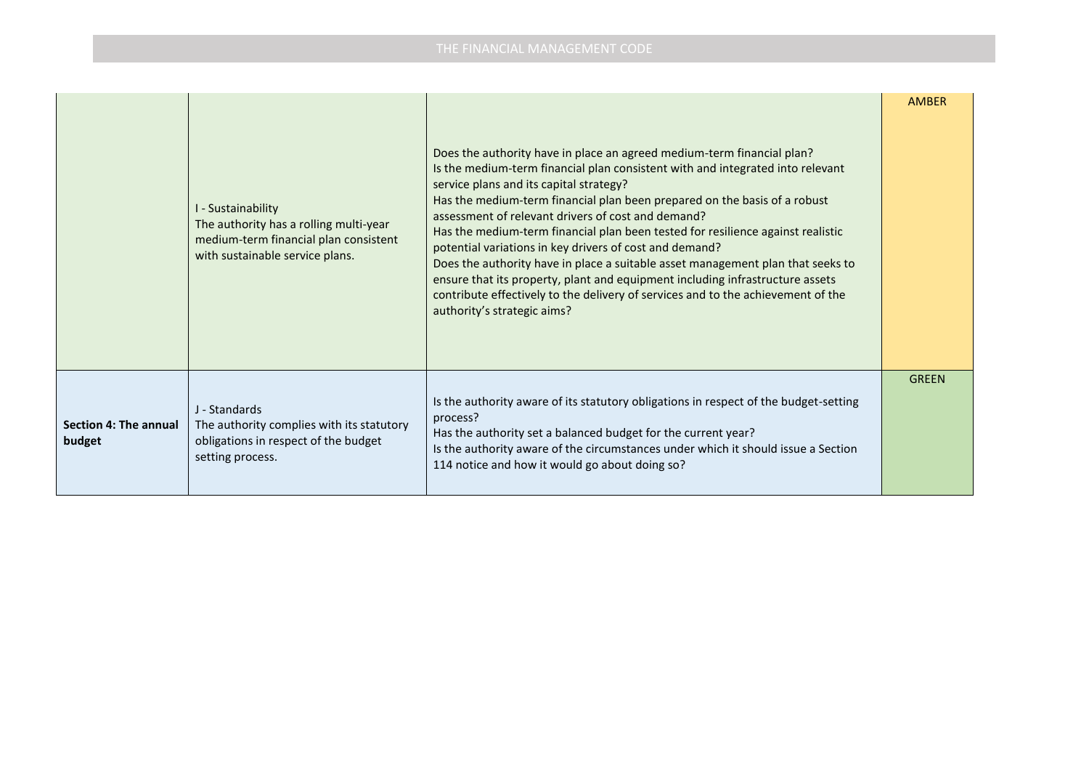|                                 | I - Sustainability<br>The authority has a rolling multi-year<br>medium-term financial plan consistent<br>with sustainable service plans. | Does the authority have in place an agreed medium-term financial plan?<br>Is the medium-term financial plan consistent with and integrated into relevant<br>service plans and its capital strategy?<br>Has the medium-term financial plan been prepared on the basis of a robust<br>assessment of relevant drivers of cost and demand?<br>Has the medium-term financial plan been tested for resilience against realistic<br>potential variations in key drivers of cost and demand?<br>Does the authority have in place a suitable asset management plan that seeks to<br>ensure that its property, plant and equipment including infrastructure assets<br>contribute effectively to the delivery of services and to the achievement of the<br>authority's strategic aims? | <b>AMBER</b> |
|---------------------------------|------------------------------------------------------------------------------------------------------------------------------------------|-----------------------------------------------------------------------------------------------------------------------------------------------------------------------------------------------------------------------------------------------------------------------------------------------------------------------------------------------------------------------------------------------------------------------------------------------------------------------------------------------------------------------------------------------------------------------------------------------------------------------------------------------------------------------------------------------------------------------------------------------------------------------------|--------------|
| Section 4: The annual<br>budget | J - Standards<br>The authority complies with its statutory<br>obligations in respect of the budget<br>setting process.                   | Is the authority aware of its statutory obligations in respect of the budget-setting<br>process?<br>Has the authority set a balanced budget for the current year?<br>Is the authority aware of the circumstances under which it should issue a Section<br>114 notice and how it would go about doing so?                                                                                                                                                                                                                                                                                                                                                                                                                                                                    | <b>GREEN</b> |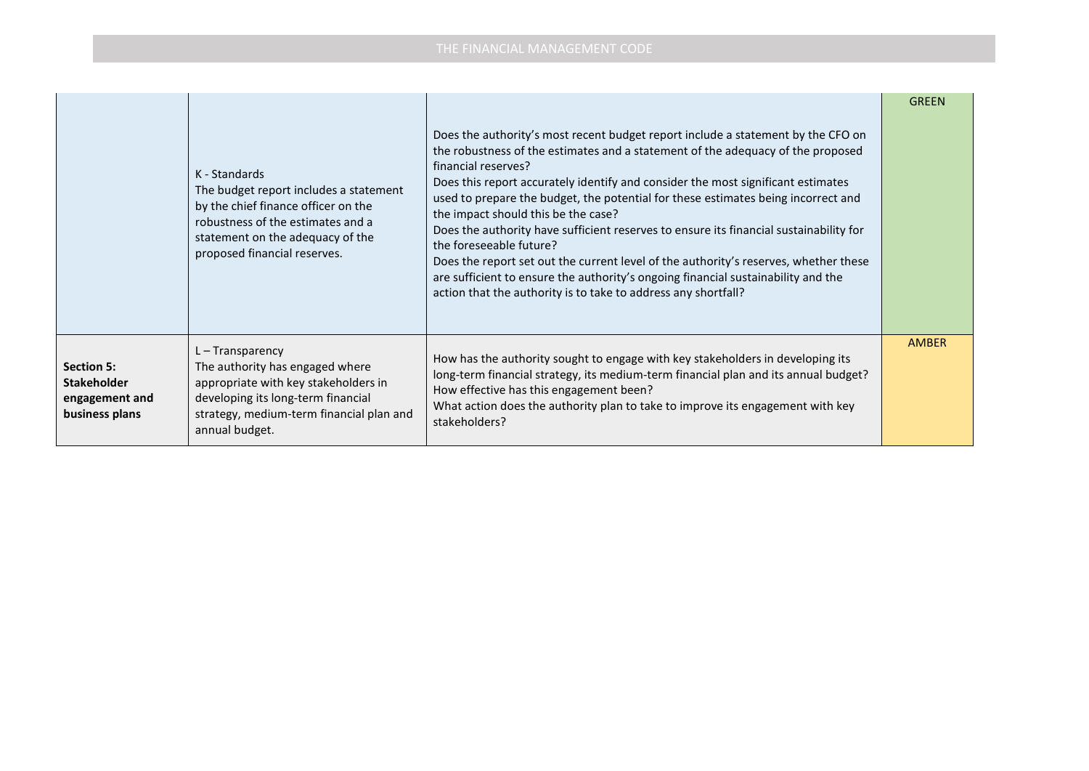|                                                                             | K - Standards<br>The budget report includes a statement<br>by the chief finance officer on the<br>robustness of the estimates and a<br>statement on the adequacy of the<br>proposed financial reserves. | Does the authority's most recent budget report include a statement by the CFO on<br>the robustness of the estimates and a statement of the adequacy of the proposed<br>financial reserves?<br>Does this report accurately identify and consider the most significant estimates<br>used to prepare the budget, the potential for these estimates being incorrect and<br>the impact should this be the case?<br>Does the authority have sufficient reserves to ensure its financial sustainability for<br>the foreseeable future?<br>Does the report set out the current level of the authority's reserves, whether these<br>are sufficient to ensure the authority's ongoing financial sustainability and the<br>action that the authority is to take to address any shortfall? | <b>GREEN</b> |
|-----------------------------------------------------------------------------|---------------------------------------------------------------------------------------------------------------------------------------------------------------------------------------------------------|--------------------------------------------------------------------------------------------------------------------------------------------------------------------------------------------------------------------------------------------------------------------------------------------------------------------------------------------------------------------------------------------------------------------------------------------------------------------------------------------------------------------------------------------------------------------------------------------------------------------------------------------------------------------------------------------------------------------------------------------------------------------------------|--------------|
| <b>Section 5:</b><br><b>Stakeholder</b><br>engagement and<br>business plans | $L - Transparency$<br>The authority has engaged where<br>appropriate with key stakeholders in<br>developing its long-term financial<br>strategy, medium-term financial plan and<br>annual budget.       | How has the authority sought to engage with key stakeholders in developing its<br>long-term financial strategy, its medium-term financial plan and its annual budget?<br>How effective has this engagement been?<br>What action does the authority plan to take to improve its engagement with key<br>stakeholders?                                                                                                                                                                                                                                                                                                                                                                                                                                                            | <b>AMBER</b> |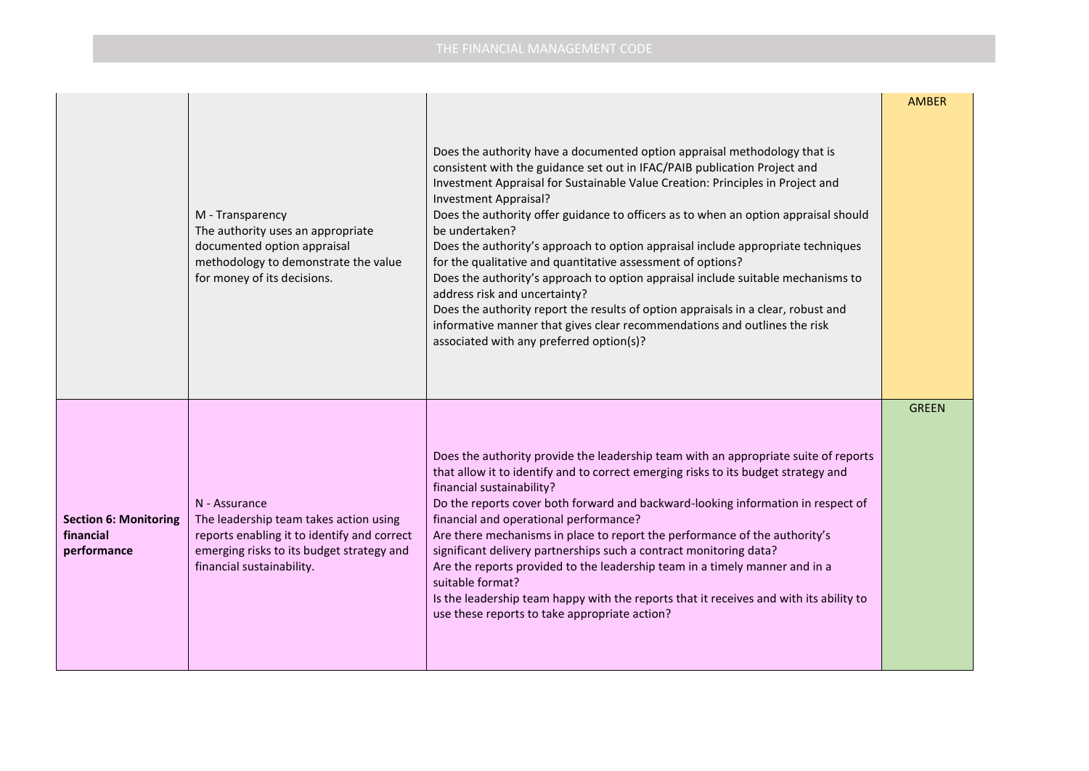|                                                          | M - Transparency<br>The authority uses an appropriate<br>documented option appraisal<br>methodology to demonstrate the value<br>for money of its decisions.                      | Does the authority have a documented option appraisal methodology that is<br>consistent with the guidance set out in IFAC/PAIB publication Project and<br>Investment Appraisal for Sustainable Value Creation: Principles in Project and<br>Investment Appraisal?<br>Does the authority offer guidance to officers as to when an option appraisal should<br>be undertaken?<br>Does the authority's approach to option appraisal include appropriate techniques<br>for the qualitative and quantitative assessment of options?<br>Does the authority's approach to option appraisal include suitable mechanisms to<br>address risk and uncertainty?<br>Does the authority report the results of option appraisals in a clear, robust and<br>informative manner that gives clear recommendations and outlines the risk<br>associated with any preferred option(s)? | <b>AMBER</b> |
|----------------------------------------------------------|----------------------------------------------------------------------------------------------------------------------------------------------------------------------------------|------------------------------------------------------------------------------------------------------------------------------------------------------------------------------------------------------------------------------------------------------------------------------------------------------------------------------------------------------------------------------------------------------------------------------------------------------------------------------------------------------------------------------------------------------------------------------------------------------------------------------------------------------------------------------------------------------------------------------------------------------------------------------------------------------------------------------------------------------------------|--------------|
| <b>Section 6: Monitoring</b><br>financial<br>performance | N - Assurance<br>The leadership team takes action using<br>reports enabling it to identify and correct<br>emerging risks to its budget strategy and<br>financial sustainability. | Does the authority provide the leadership team with an appropriate suite of reports<br>that allow it to identify and to correct emerging risks to its budget strategy and<br>financial sustainability?<br>Do the reports cover both forward and backward-looking information in respect of<br>financial and operational performance?<br>Are there mechanisms in place to report the performance of the authority's<br>significant delivery partnerships such a contract monitoring data?<br>Are the reports provided to the leadership team in a timely manner and in a<br>suitable format?<br>Is the leadership team happy with the reports that it receives and with its ability to<br>use these reports to take appropriate action?                                                                                                                           | <b>GREEN</b> |